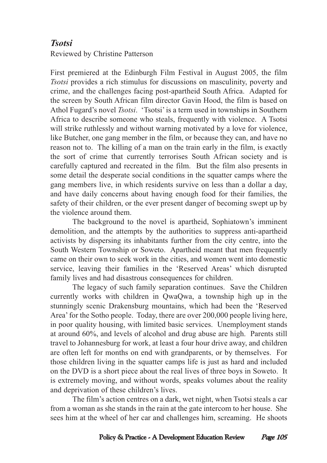## *Tsotsi*

Reviewed by Christine Patterson

First premiered at the Edinburgh Film Festival in August 2005, the film *Tsotsi* provides a rich stimulus for discussions on masculinity, poverty and crime, and the challenges facing post-apartheid South Africa. Adapted for the screen by South African film director Gavin Hood, the film is based on Athol Fugard's novel *Tsotsi*. 'Tsotsi' is a term used in townships in Southern Africa to describe someone who steals, frequently with violence. A Tsotsi will strike ruthlessly and without warning motivated by a love for violence, like Butcher, one gang member in the film, or because they can, and have no reason not to. The killing of a man on the train early in the film, is exactly the sort of crime that currently terrorises South African society and is carefully captured and recreated in the film. But the film also presents in some detail the desperate social conditions in the squatter camps where the gang members live, in which residents survive on less than a dollar a day, and have daily concerns about having enough food for their families, the safety of their children, or the ever present danger of becoming swept up by the violence around them.

The background to the novel is apartheid, Sophiatown's imminent demolition, and the attempts by the authorities to suppress anti-apartheid activists by dispersing its inhabitants further from the city centre, into the South Western Township or Soweto. Apartheid meant that men frequently came on their own to seek work in the cities, and women went into domestic service, leaving their families in the 'Reserved Areas' which disrupted family lives and had disastrous consequences for children.

The legacy of such family separation continues. Save the Children currently works with children in QwaQwa, a township high up in the stunningly scenic Drakensburg mountains, which had been the 'Reserved Area' for the Sotho people. Today, there are over 200,000 people living here, in poor quality housing, with limited basic services. Unemployment stands at around 60%, and levels of alcohol and drug abuse are high. Parents still travel to Johannesburg for work, at least a four hour drive away, and children are often left for months on end with grandparents, or by themselves. For those children living in the squatter camps life is just as hard and included on the DVD is a short piece about the real lives of three boys in Soweto. It is extremely moving, and without words, speaks volumes about the reality and deprivation of these children's lives.

The film's action centres on a dark, wet night, when Tsotsi steals a car from a woman as she stands in the rain at the gate intercom to her house. She sees him at the wheel of her car and challenges him, screaming. He shoots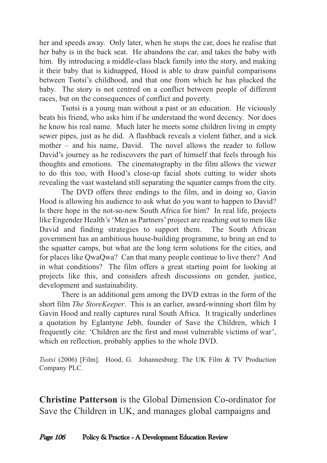her and speeds away. Only later, when he stops the car, does he realise that her baby is in the back seat. He abandons the car, and takes the baby with him. By introducing a middle-class black family into the story, and making it their baby that is kidnapped, Hood is able to draw painful comparisons between Tsotsi's childhood, and that one from which he has plucked the baby. The story is not centred on a conflict between people of different races, but on the consequences of conflict and poverty.

Tsotsi is a young man without a past or an education. He viciously beats his friend, who asks him if he understand the word decency. Nor does he know his real name. Much later he meets some children living in empty sewer pipes, just as he did. A flashback reveals a violent father, and a sick mother – and his name, David. The novel allows the reader to follow David's journey as he rediscovers the part of himself that feels through his thoughts and emotions. The cinematography in the film allows the viewer to do this too, with Hood's close-up facial shots cutting to wider shots revealing the vast wasteland still separating the squatter camps from the city.

The DVD offers three endings to the film, and in doing so, Gavin Hood is allowing his audience to ask what do you want to happen to David? Is there hope in the not-so-new South Africa for him? In real life, projects like Engender Health's 'Men as Partners' project are reaching out to men like David and finding strategies to support them. The South African government has an ambitious house-building programme, to bring an end to the squatter camps, but what are the long term solutions for the cities, and for places like QwaQwa? Can that many people continue to live there? And in what conditions? The film offers a great starting point for looking at projects like this, and considers afresh discussions on gender, justice, development and sustainability.

There is an additional gem among the DVD extras in the form of the short film *The StoreKeeper*. This is an earlier, award-winning short film by Gavin Hood and really captures rural South Africa. It tragically underlines a quotation by Eglantyne Jebb, founder of Save the Children, which I frequently cite: 'Children are the first and most vulnerable victims of war', which on reflection, probably applies to the whole DVD.

*Tsotsi* (2006) [Film]. Hood, G. Johannesburg: The UK Film & TV Production Company PLC.

**Christine Patterson** is the Global Dimension Co-ordinator for Save the Children in UK, and manages global campaigns and